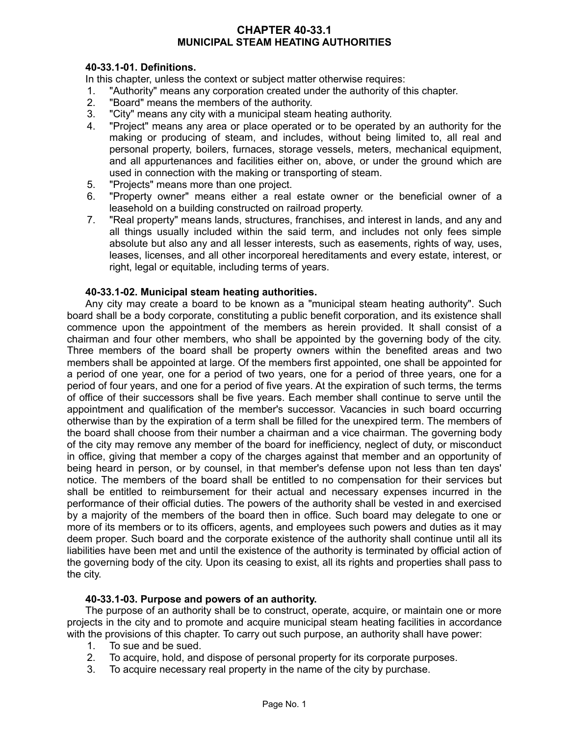## **CHAPTER 40-33.1 MUNICIPAL STEAM HEATING AUTHORITIES**

## **40-33.1-01. Definitions.**

In this chapter, unless the context or subject matter otherwise requires:

- 1. "Authority" means any corporation created under the authority of this chapter.
- 2. "Board" means the members of the authority.
- 3. "City" means any city with a municipal steam heating authority.
- 4. "Project" means any area or place operated or to be operated by an authority for the making or producing of steam, and includes, without being limited to, all real and personal property, boilers, furnaces, storage vessels, meters, mechanical equipment, and all appurtenances and facilities either on, above, or under the ground which are used in connection with the making or transporting of steam.
- 5. "Projects" means more than one project.
- 6. "Property owner" means either a real estate owner or the beneficial owner of a leasehold on a building constructed on railroad property.
- 7. "Real property" means lands, structures, franchises, and interest in lands, and any and all things usually included within the said term, and includes not only fees simple absolute but also any and all lesser interests, such as easements, rights of way, uses, leases, licenses, and all other incorporeal hereditaments and every estate, interest, or right, legal or equitable, including terms of years.

## **40-33.1-02. Municipal steam heating authorities.**

Any city may create a board to be known as a "municipal steam heating authority". Such board shall be a body corporate, constituting a public benefit corporation, and its existence shall commence upon the appointment of the members as herein provided. It shall consist of a chairman and four other members, who shall be appointed by the governing body of the city. Three members of the board shall be property owners within the benefited areas and two members shall be appointed at large. Of the members first appointed, one shall be appointed for a period of one year, one for a period of two years, one for a period of three years, one for a period of four years, and one for a period of five years. At the expiration of such terms, the terms of office of their successors shall be five years. Each member shall continue to serve until the appointment and qualification of the member's successor. Vacancies in such board occurring otherwise than by the expiration of a term shall be filled for the unexpired term. The members of the board shall choose from their number a chairman and a vice chairman. The governing body of the city may remove any member of the board for inefficiency, neglect of duty, or misconduct in office, giving that member a copy of the charges against that member and an opportunity of being heard in person, or by counsel, in that member's defense upon not less than ten days' notice. The members of the board shall be entitled to no compensation for their services but shall be entitled to reimbursement for their actual and necessary expenses incurred in the performance of their official duties. The powers of the authority shall be vested in and exercised by a majority of the members of the board then in office. Such board may delegate to one or more of its members or to its officers, agents, and employees such powers and duties as it may deem proper. Such board and the corporate existence of the authority shall continue until all its liabilities have been met and until the existence of the authority is terminated by official action of the governing body of the city. Upon its ceasing to exist, all its rights and properties shall pass to the city.

### **40-33.1-03. Purpose and powers of an authority.**

The purpose of an authority shall be to construct, operate, acquire, or maintain one or more projects in the city and to promote and acquire municipal steam heating facilities in accordance with the provisions of this chapter. To carry out such purpose, an authority shall have power:

- 1. To sue and be sued.
- 2. To acquire, hold, and dispose of personal property for its corporate purposes.
- 3. To acquire necessary real property in the name of the city by purchase.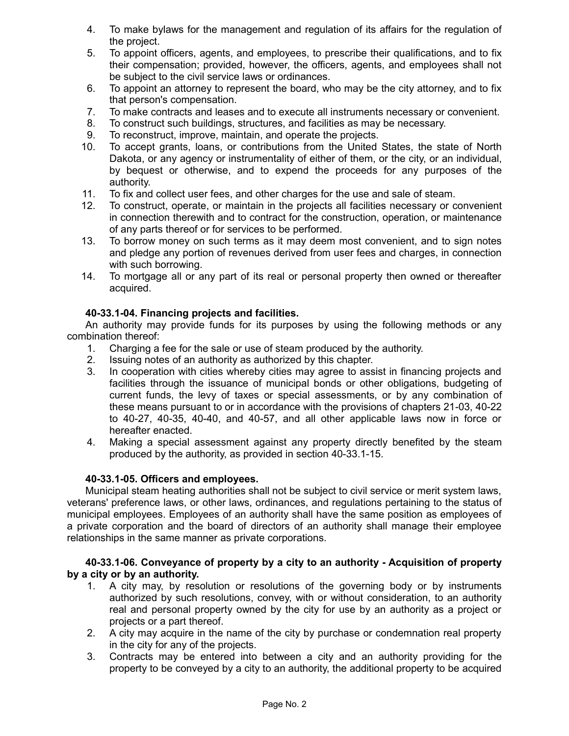- 4. To make bylaws for the management and regulation of its affairs for the regulation of the project.
- 5. To appoint officers, agents, and employees, to prescribe their qualifications, and to fix their compensation; provided, however, the officers, agents, and employees shall not be subject to the civil service laws or ordinances.
- 6. To appoint an attorney to represent the board, who may be the city attorney, and to fix that person's compensation.
- 7. To make contracts and leases and to execute all instruments necessary or convenient.
- 8. To construct such buildings, structures, and facilities as may be necessary.
- 9. To reconstruct, improve, maintain, and operate the projects.
- 10. To accept grants, loans, or contributions from the United States, the state of North Dakota, or any agency or instrumentality of either of them, or the city, or an individual, by bequest or otherwise, and to expend the proceeds for any purposes of the authority.
- 11. To fix and collect user fees, and other charges for the use and sale of steam.
- 12. To construct, operate, or maintain in the projects all facilities necessary or convenient in connection therewith and to contract for the construction, operation, or maintenance of any parts thereof or for services to be performed.
- 13. To borrow money on such terms as it may deem most convenient, and to sign notes and pledge any portion of revenues derived from user fees and charges, in connection with such borrowing.
- 14. To mortgage all or any part of its real or personal property then owned or thereafter acquired.

# **40-33.1-04. Financing projects and facilities.**

An authority may provide funds for its purposes by using the following methods or any combination thereof:

- 1. Charging a fee for the sale or use of steam produced by the authority.
- 2. Issuing notes of an authority as authorized by this chapter.
- 3. In cooperation with cities whereby cities may agree to assist in financing projects and facilities through the issuance of municipal bonds or other obligations, budgeting of current funds, the levy of taxes or special assessments, or by any combination of these means pursuant to or in accordance with the provisions of chapters 21-03, 40-22 to 40-27, 40-35, 40-40, and 40-57, and all other applicable laws now in force or hereafter enacted.
- 4. Making a special assessment against any property directly benefited by the steam produced by the authority, as provided in section 40-33.1-15.

### **40-33.1-05. Officers and employees.**

Municipal steam heating authorities shall not be subject to civil service or merit system laws, veterans' preference laws, or other laws, ordinances, and regulations pertaining to the status of municipal employees. Employees of an authority shall have the same position as employees of a private corporation and the board of directors of an authority shall manage their employee relationships in the same manner as private corporations.

## **40-33.1-06. Conveyance of property by a city to an authority - Acquisition of property by a city or by an authority.**

- 1. A city may, by resolution or resolutions of the governing body or by instruments authorized by such resolutions, convey, with or without consideration, to an authority real and personal property owned by the city for use by an authority as a project or projects or a part thereof.
- 2. A city may acquire in the name of the city by purchase or condemnation real property in the city for any of the projects.
- 3. Contracts may be entered into between a city and an authority providing for the property to be conveyed by a city to an authority, the additional property to be acquired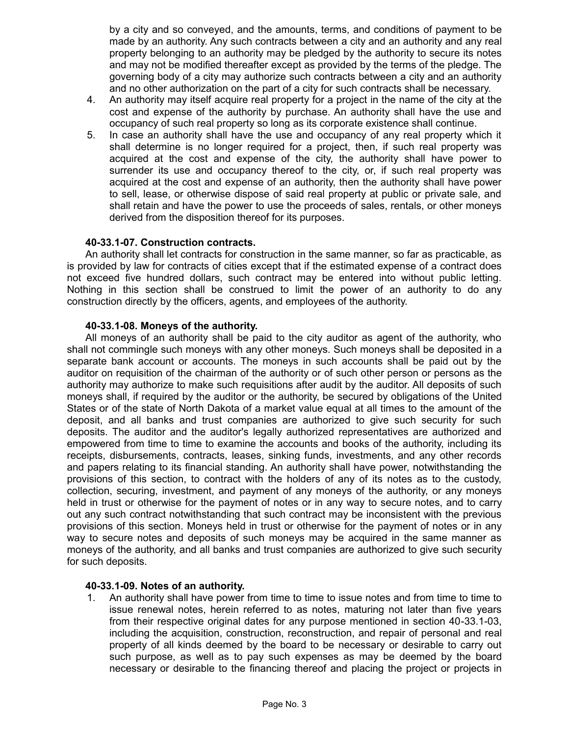by a city and so conveyed, and the amounts, terms, and conditions of payment to be made by an authority. Any such contracts between a city and an authority and any real property belonging to an authority may be pledged by the authority to secure its notes and may not be modified thereafter except as provided by the terms of the pledge. The governing body of a city may authorize such contracts between a city and an authority and no other authorization on the part of a city for such contracts shall be necessary.

- 4. An authority may itself acquire real property for a project in the name of the city at the cost and expense of the authority by purchase. An authority shall have the use and occupancy of such real property so long as its corporate existence shall continue.
- 5. In case an authority shall have the use and occupancy of any real property which it shall determine is no longer required for a project, then, if such real property was acquired at the cost and expense of the city, the authority shall have power to surrender its use and occupancy thereof to the city, or, if such real property was acquired at the cost and expense of an authority, then the authority shall have power to sell, lease, or otherwise dispose of said real property at public or private sale, and shall retain and have the power to use the proceeds of sales, rentals, or other moneys derived from the disposition thereof for its purposes.

## **40-33.1-07. Construction contracts.**

An authority shall let contracts for construction in the same manner, so far as practicable, as is provided by law for contracts of cities except that if the estimated expense of a contract does not exceed five hundred dollars, such contract may be entered into without public letting. Nothing in this section shall be construed to limit the power of an authority to do any construction directly by the officers, agents, and employees of the authority.

## **40-33.1-08. Moneys of the authority.**

All moneys of an authority shall be paid to the city auditor as agent of the authority, who shall not commingle such moneys with any other moneys. Such moneys shall be deposited in a separate bank account or accounts. The moneys in such accounts shall be paid out by the auditor on requisition of the chairman of the authority or of such other person or persons as the authority may authorize to make such requisitions after audit by the auditor. All deposits of such moneys shall, if required by the auditor or the authority, be secured by obligations of the United States or of the state of North Dakota of a market value equal at all times to the amount of the deposit, and all banks and trust companies are authorized to give such security for such deposits. The auditor and the auditor's legally authorized representatives are authorized and empowered from time to time to examine the accounts and books of the authority, including its receipts, disbursements, contracts, leases, sinking funds, investments, and any other records and papers relating to its financial standing. An authority shall have power, notwithstanding the provisions of this section, to contract with the holders of any of its notes as to the custody, collection, securing, investment, and payment of any moneys of the authority, or any moneys held in trust or otherwise for the payment of notes or in any way to secure notes, and to carry out any such contract notwithstanding that such contract may be inconsistent with the previous provisions of this section. Moneys held in trust or otherwise for the payment of notes or in any way to secure notes and deposits of such moneys may be acquired in the same manner as moneys of the authority, and all banks and trust companies are authorized to give such security for such deposits.

# **40-33.1-09. Notes of an authority.**

1. An authority shall have power from time to time to issue notes and from time to time to issue renewal notes, herein referred to as notes, maturing not later than five years from their respective original dates for any purpose mentioned in section 40-33.1-03, including the acquisition, construction, reconstruction, and repair of personal and real property of all kinds deemed by the board to be necessary or desirable to carry out such purpose, as well as to pay such expenses as may be deemed by the board necessary or desirable to the financing thereof and placing the project or projects in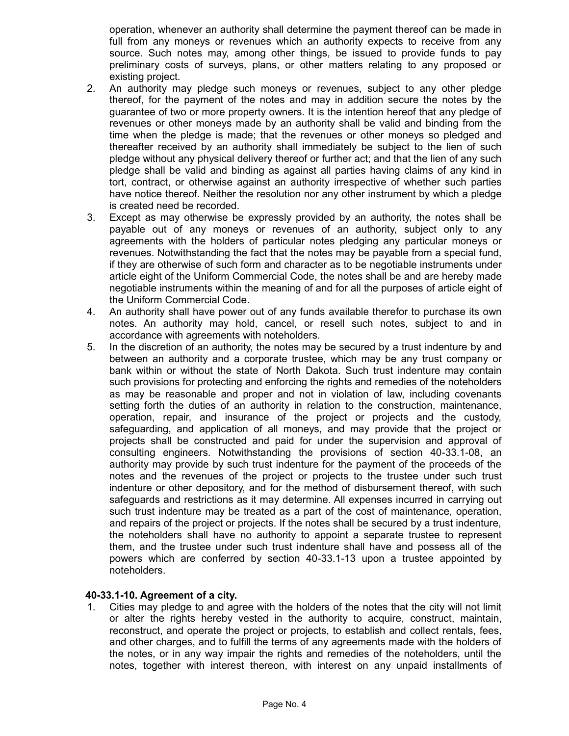operation, whenever an authority shall determine the payment thereof can be made in full from any moneys or revenues which an authority expects to receive from any source. Such notes may, among other things, be issued to provide funds to pay preliminary costs of surveys, plans, or other matters relating to any proposed or existing project.

- 2. An authority may pledge such moneys or revenues, subject to any other pledge thereof, for the payment of the notes and may in addition secure the notes by the guarantee of two or more property owners. It is the intention hereof that any pledge of revenues or other moneys made by an authority shall be valid and binding from the time when the pledge is made; that the revenues or other moneys so pledged and thereafter received by an authority shall immediately be subject to the lien of such pledge without any physical delivery thereof or further act; and that the lien of any such pledge shall be valid and binding as against all parties having claims of any kind in tort, contract, or otherwise against an authority irrespective of whether such parties have notice thereof. Neither the resolution nor any other instrument by which a pledge is created need be recorded.
- 3. Except as may otherwise be expressly provided by an authority, the notes shall be payable out of any moneys or revenues of an authority, subject only to any agreements with the holders of particular notes pledging any particular moneys or revenues. Notwithstanding the fact that the notes may be payable from a special fund, if they are otherwise of such form and character as to be negotiable instruments under article eight of the Uniform Commercial Code, the notes shall be and are hereby made negotiable instruments within the meaning of and for all the purposes of article eight of the Uniform Commercial Code.
- 4. An authority shall have power out of any funds available therefor to purchase its own notes. An authority may hold, cancel, or resell such notes, subject to and in accordance with agreements with noteholders.
- 5. In the discretion of an authority, the notes may be secured by a trust indenture by and between an authority and a corporate trustee, which may be any trust company or bank within or without the state of North Dakota. Such trust indenture may contain such provisions for protecting and enforcing the rights and remedies of the noteholders as may be reasonable and proper and not in violation of law, including covenants setting forth the duties of an authority in relation to the construction, maintenance, operation, repair, and insurance of the project or projects and the custody, safeguarding, and application of all moneys, and may provide that the project or projects shall be constructed and paid for under the supervision and approval of consulting engineers. Notwithstanding the provisions of section 40-33.1-08, an authority may provide by such trust indenture for the payment of the proceeds of the notes and the revenues of the project or projects to the trustee under such trust indenture or other depository, and for the method of disbursement thereof, with such safeguards and restrictions as it may determine. All expenses incurred in carrying out such trust indenture may be treated as a part of the cost of maintenance, operation, and repairs of the project or projects. If the notes shall be secured by a trust indenture, the noteholders shall have no authority to appoint a separate trustee to represent them, and the trustee under such trust indenture shall have and possess all of the powers which are conferred by section 40-33.1-13 upon a trustee appointed by noteholders.

### **40-33.1-10. Agreement of a city.**

1. Cities may pledge to and agree with the holders of the notes that the city will not limit or alter the rights hereby vested in the authority to acquire, construct, maintain, reconstruct, and operate the project or projects, to establish and collect rentals, fees, and other charges, and to fulfill the terms of any agreements made with the holders of the notes, or in any way impair the rights and remedies of the noteholders, until the notes, together with interest thereon, with interest on any unpaid installments of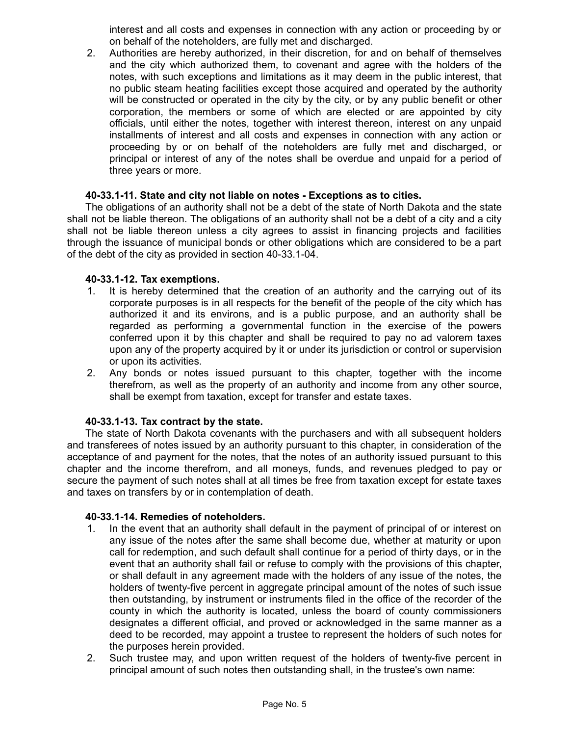interest and all costs and expenses in connection with any action or proceeding by or on behalf of the noteholders, are fully met and discharged.

2. Authorities are hereby authorized, in their discretion, for and on behalf of themselves and the city which authorized them, to covenant and agree with the holders of the notes, with such exceptions and limitations as it may deem in the public interest, that no public steam heating facilities except those acquired and operated by the authority will be constructed or operated in the city by the city, or by any public benefit or other corporation, the members or some of which are elected or are appointed by city officials, until either the notes, together with interest thereon, interest on any unpaid installments of interest and all costs and expenses in connection with any action or proceeding by or on behalf of the noteholders are fully met and discharged, or principal or interest of any of the notes shall be overdue and unpaid for a period of three years or more.

### **40-33.1-11. State and city not liable on notes - Exceptions as to cities.**

The obligations of an authority shall not be a debt of the state of North Dakota and the state shall not be liable thereon. The obligations of an authority shall not be a debt of a city and a city shall not be liable thereon unless a city agrees to assist in financing projects and facilities through the issuance of municipal bonds or other obligations which are considered to be a part of the debt of the city as provided in section 40-33.1-04.

### **40-33.1-12. Tax exemptions.**

- 1. It is hereby determined that the creation of an authority and the carrying out of its corporate purposes is in all respects for the benefit of the people of the city which has authorized it and its environs, and is a public purpose, and an authority shall be regarded as performing a governmental function in the exercise of the powers conferred upon it by this chapter and shall be required to pay no ad valorem taxes upon any of the property acquired by it or under its jurisdiction or control or supervision or upon its activities.
- 2. Any bonds or notes issued pursuant to this chapter, together with the income therefrom, as well as the property of an authority and income from any other source, shall be exempt from taxation, except for transfer and estate taxes.

### **40-33.1-13. Tax contract by the state.**

The state of North Dakota covenants with the purchasers and with all subsequent holders and transferees of notes issued by an authority pursuant to this chapter, in consideration of the acceptance of and payment for the notes, that the notes of an authority issued pursuant to this chapter and the income therefrom, and all moneys, funds, and revenues pledged to pay or secure the payment of such notes shall at all times be free from taxation except for estate taxes and taxes on transfers by or in contemplation of death.

### **40-33.1-14. Remedies of noteholders.**

- 1. In the event that an authority shall default in the payment of principal of or interest on any issue of the notes after the same shall become due, whether at maturity or upon call for redemption, and such default shall continue for a period of thirty days, or in the event that an authority shall fail or refuse to comply with the provisions of this chapter, or shall default in any agreement made with the holders of any issue of the notes, the holders of twenty-five percent in aggregate principal amount of the notes of such issue then outstanding, by instrument or instruments filed in the office of the recorder of the county in which the authority is located, unless the board of county commissioners designates a different official, and proved or acknowledged in the same manner as a deed to be recorded, may appoint a trustee to represent the holders of such notes for the purposes herein provided.
- 2. Such trustee may, and upon written request of the holders of twenty-five percent in principal amount of such notes then outstanding shall, in the trustee's own name: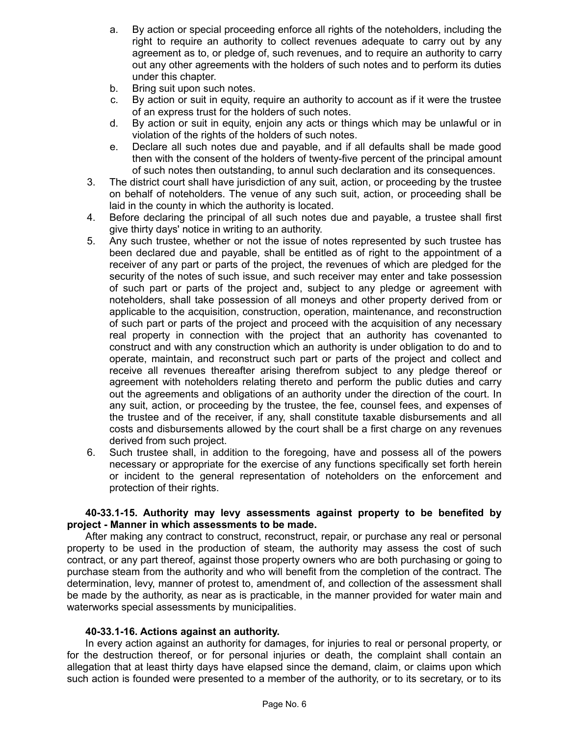- a. By action or special proceeding enforce all rights of the noteholders, including the right to require an authority to collect revenues adequate to carry out by any agreement as to, or pledge of, such revenues, and to require an authority to carry out any other agreements with the holders of such notes and to perform its duties under this chapter.
- b. Bring suit upon such notes.
- c. By action or suit in equity, require an authority to account as if it were the trustee of an express trust for the holders of such notes.
- d. By action or suit in equity, enjoin any acts or things which may be unlawful or in violation of the rights of the holders of such notes.
- e. Declare all such notes due and payable, and if all defaults shall be made good then with the consent of the holders of twenty-five percent of the principal amount of such notes then outstanding, to annul such declaration and its consequences.
- 3. The district court shall have jurisdiction of any suit, action, or proceeding by the trustee on behalf of noteholders. The venue of any such suit, action, or proceeding shall be laid in the county in which the authority is located.
- 4. Before declaring the principal of all such notes due and payable, a trustee shall first give thirty days' notice in writing to an authority.
- 5. Any such trustee, whether or not the issue of notes represented by such trustee has been declared due and payable, shall be entitled as of right to the appointment of a receiver of any part or parts of the project, the revenues of which are pledged for the security of the notes of such issue, and such receiver may enter and take possession of such part or parts of the project and, subject to any pledge or agreement with noteholders, shall take possession of all moneys and other property derived from or applicable to the acquisition, construction, operation, maintenance, and reconstruction of such part or parts of the project and proceed with the acquisition of any necessary real property in connection with the project that an authority has covenanted to construct and with any construction which an authority is under obligation to do and to operate, maintain, and reconstruct such part or parts of the project and collect and receive all revenues thereafter arising therefrom subject to any pledge thereof or agreement with noteholders relating thereto and perform the public duties and carry out the agreements and obligations of an authority under the direction of the court. In any suit, action, or proceeding by the trustee, the fee, counsel fees, and expenses of the trustee and of the receiver, if any, shall constitute taxable disbursements and all costs and disbursements allowed by the court shall be a first charge on any revenues derived from such project.
- 6. Such trustee shall, in addition to the foregoing, have and possess all of the powers necessary or appropriate for the exercise of any functions specifically set forth herein or incident to the general representation of noteholders on the enforcement and protection of their rights.

# **40-33.1-15. Authority may levy assessments against property to be benefited by project - Manner in which assessments to be made.**

After making any contract to construct, reconstruct, repair, or purchase any real or personal property to be used in the production of steam, the authority may assess the cost of such contract, or any part thereof, against those property owners who are both purchasing or going to purchase steam from the authority and who will benefit from the completion of the contract. The determination, levy, manner of protest to, amendment of, and collection of the assessment shall be made by the authority, as near as is practicable, in the manner provided for water main and waterworks special assessments by municipalities.

# **40-33.1-16. Actions against an authority.**

In every action against an authority for damages, for injuries to real or personal property, or for the destruction thereof, or for personal injuries or death, the complaint shall contain an allegation that at least thirty days have elapsed since the demand, claim, or claims upon which such action is founded were presented to a member of the authority, or to its secretary, or to its